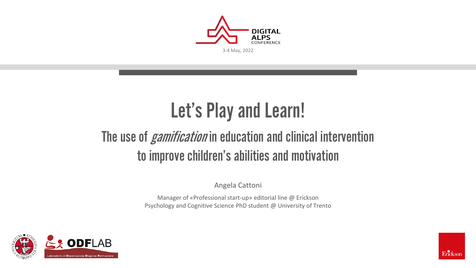

## Let's Play and Learn!

#### The use of *gamification* in education and clinical intervention to improve children's abilities and motivation

Angela Cattoni

Manager of «Professional start-up» editorial line @ Erickson Psychology and Cognitive Science PhD student @ University of Trento



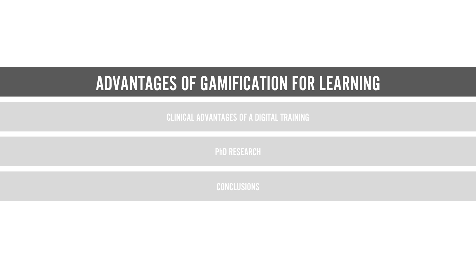#### ADVANTAGES OF GAMIFICATION FOR LEARNING

CLINICAL ADVANTAGES OF A DIGITAL TRAINING

PhD RESEARCH

**CONCLUSIONS**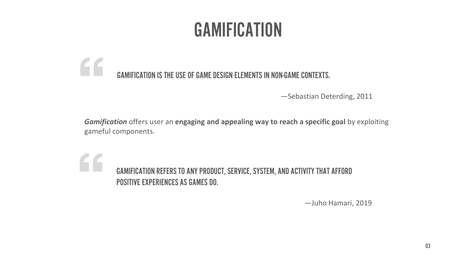## GAMIFICATION

#### $\epsilon$ GAMIFICATION IS THE USE OF GAME DESIGN ELEMENTS IN NON-GAME CONTEXTS.

—Sebastian Deterding, 2011

*Gamification* offers user an **engaging and appealing way to reach a specific goal** by exploiting gameful components.

GAMIFICATION REFERS TO ANY PRODUCT, SERVICE, SYSTEM, AND ACTIVITY THAT AFFORD POSITIVE EXPERIENCES AS GAMES DO.

—Juho Hamari, 2019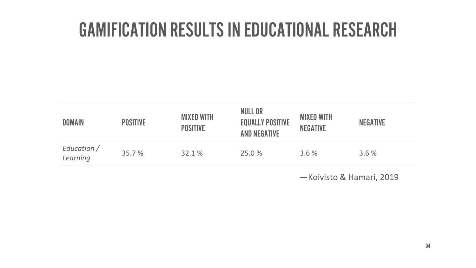#### GAMIFICATION RESULTS IN EDUCATIONAL RESEARCH

| <b>DOMAIN</b>           | <b>POSITIVE</b> | <b>MIXED WITH</b><br><b>POSITIVE</b> | <b>NULL OR</b><br><b>EQUALLY POSITIVE</b><br><b>AND NEGATIVE</b> | <b>MIXED WITH</b><br><b>NEGATIVE</b> | <b>NEGATIVE</b> |
|-------------------------|-----------------|--------------------------------------|------------------------------------------------------------------|--------------------------------------|-----------------|
| Education /<br>Learning | 35.7 %          | 32.1%                                | 25.0 %                                                           | 3.6%                                 | 3.6%            |

—Koivisto & Hamari, 2019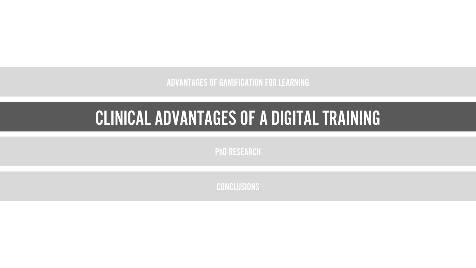ADVANTAGES OF GAMIFICATION FOR LEARNING

### CLINICAL ADVANTAGES OF A DIGITAL TRAINING CLINICAL ADVANTAGES OF A DIGITAL TRAINING

PhD RESEARCH

**CONCLUSIONS**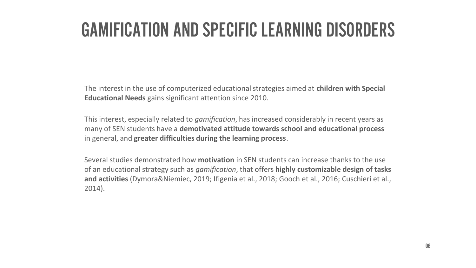#### GAMIFICATION AND SPECIFIC LEARNING DISORDERS

The interest in the use of computerized educational strategies aimed at **children with Special Educational Needs** gains significant attention since 2010.

This interest, especially related to *gamification*, has increased considerably in recent years as many of SEN students have a **demotivated attitude towards school and educational process**  in general, and **greater difficulties during the learning process**.

Several studies demonstrated how **motivation** in SEN students can increase thanks to the use of an educational strategy such as *gamification*, that offers **highly customizable design of tasks and activities** (Dymora&Niemiec, 2019; Ifigenia et al., 2018; Gooch et al., 2016; Cuschieri et al., 2014).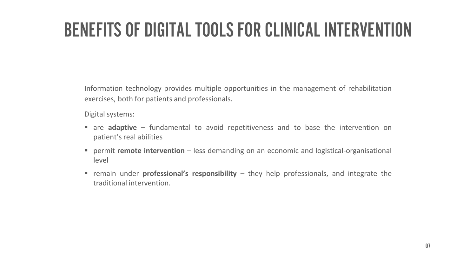## BENEFITS OF DIGITAL TOOLS FOR CLINICAL INTERVENTION

Information technology provides multiple opportunities in the management of rehabilitation exercises, both for patients and professionals.

Digital systems:

- are **adaptive** fundamental to avoid repetitiveness and to base the intervention on patient's real abilities
- permit **remote intervention** less demanding on an economic and logistical-organisational level
- remain under **professional's responsibility** they help professionals, and integrate the traditional intervention.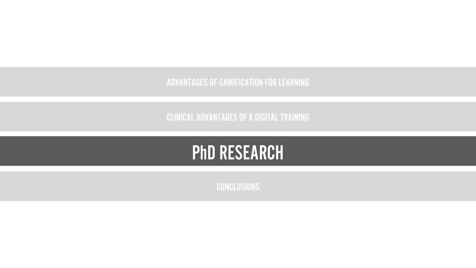ADVANTAGES OF GAMIFICATION FOR LEARNING

CLINICAL ADVANTAGES OF A DIGITAL TRAINING



**CONCLUSIONS**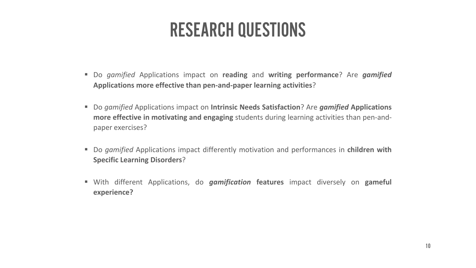#### RESEARCH QUESTIONS

- Do *gamified* Applications impact on **reading** and **writing performance**? Are *gamified* **Applications more effective than pen-and-paper learning activities**?
- Do *gamified* Applications impact on **Intrinsic Needs Satisfaction**? Are *gamified* **Applications more effective in motivating and engaging** students during learning activities than pen-andpaper exercises?
- Do *gamified* Applications impact differently motivation and performances in **children with Specific Learning Disorders**?
- With different Applications, do *gamification* **features** impact diversely on **gameful experience?**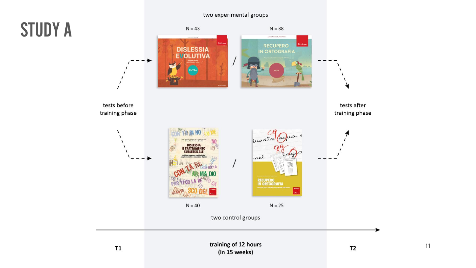#### two experimental groups



11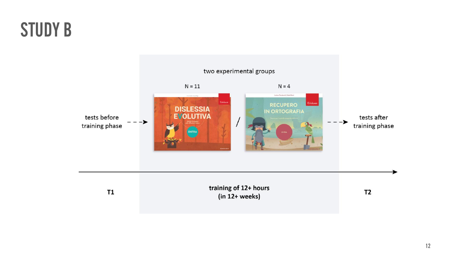### STUDY B

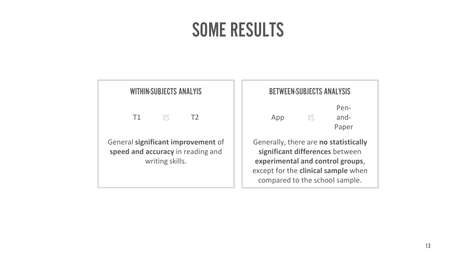#### SOME RESULTS

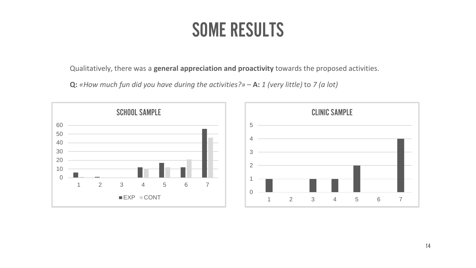#### SOME RESULTS

Qualitatively, there was a **general appreciation and proactivity** towards the proposed activities.

**Q:** *«How much fun did you have during the activities?»* – **A:** *1 (very little)* to *7 (a lot)*

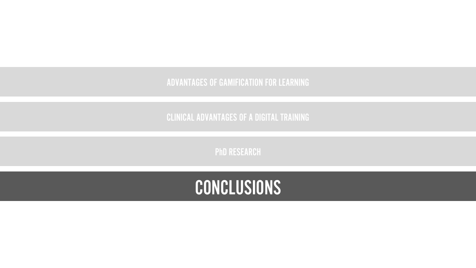#### **CONCLUSIONS**

PhD RESEARCH

CLINICAL ADVANTAGES OF A DIGITAL TRAINING

ADVANTAGES OF GAMIFICATION FOR LEARNING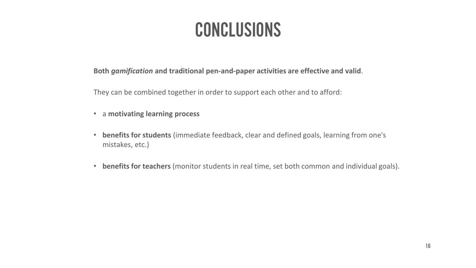#### CONCLUSIONS

**Both** *gamification* **and traditional pen-and-paper activities are effective and valid**.

They can be combined together in order to support each other and to afford:

- a **motivating learning process**
- **benefits for students** (immediate feedback, clear and defined goals, learning from one's mistakes, etc.)
- **benefits for teachers** (monitor students in real time, set both common and individual goals).